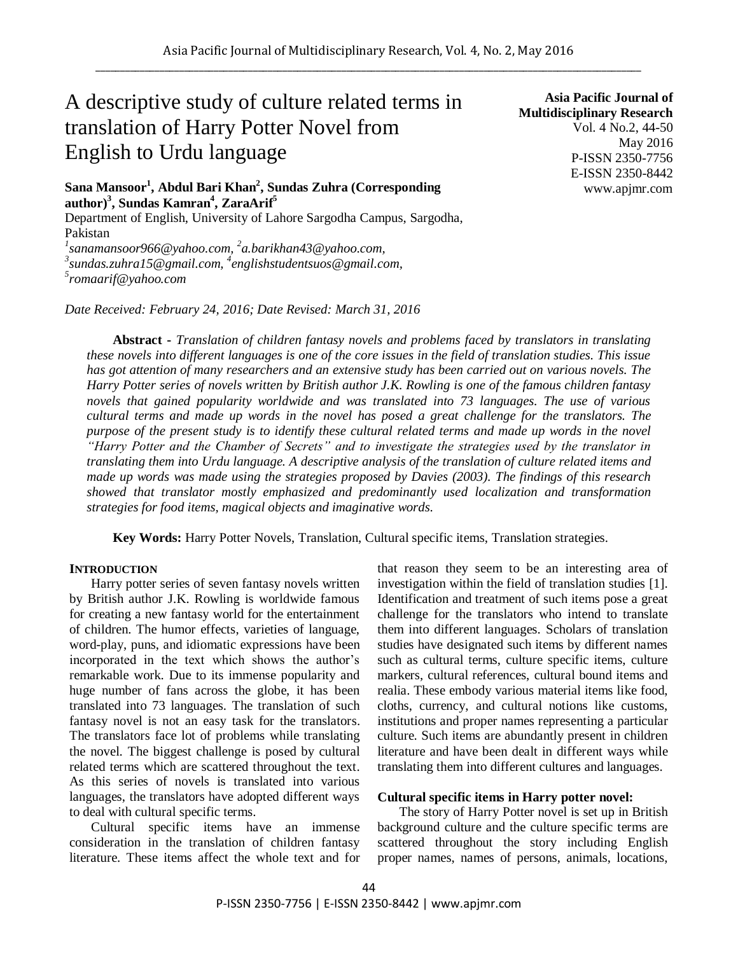# A descriptive study of culture related terms in translation of Harry Potter Novel from English to Urdu language

**Sana Mansoor<sup>1</sup> , Abdul Bari Khan<sup>2</sup> , Sundas Zuhra (Corresponding author)<sup>3</sup> , Sundas Kamran<sup>4</sup> , ZaraArif<sup>5</sup>**

Department of English, University of Lahore Sargodha Campus, Sargodha, Pakistan

<sup>1</sup> sanamansoor966@yahoo.com, <sup>2</sup>a.barikhan43@yahoo.com, *3 sundas.zuhra15@gmail.com, 4 englishstudentsuos@gmail.com, 5 romaarif@yahoo.com*

*Date Received: February 24, 2016; Date Revised: March 31, 2016*

**Asia Pacific Journal of Multidisciplinary Research** Vol. 4 No.2, 44-50 May 2016 P-ISSN 2350-7756 E-ISSN 2350-8442 www.apjmr.com

**Abstract -** *Translation of children fantasy novels and problems faced by translators in translating these novels into different languages is one of the core issues in the field of translation studies. This issue has got attention of many researchers and an extensive study has been carried out on various novels. The Harry Potter series of novels written by British author J.K. Rowling is one of the famous children fantasy novels that gained popularity worldwide and was translated into 73 languages. The use of various cultural terms and made up words in the novel has posed a great challenge for the translators. The purpose of the present study is to identify these cultural related terms and made up words in the novel "Harry Potter and the Chamber of Secrets" and to investigate the strategies used by the translator in translating them into Urdu language. A descriptive analysis of the translation of culture related items and made up words was made using the strategies proposed by Davies (2003). The findings of this research showed that translator mostly emphasized and predominantly used localization and transformation strategies for food items, magical objects and imaginative words.*

**Key Words:** Harry Potter Novels, Translation, Cultural specific items, Translation strategies.

#### **INTRODUCTION**

Harry potter series of seven fantasy novels written by British author J.K. Rowling is worldwide famous for creating a new fantasy world for the entertainment of children. The humor effects, varieties of language, word-play, puns, and idiomatic expressions have been incorporated in the text which shows the author's remarkable work. Due to its immense popularity and huge number of fans across the globe, it has been translated into 73 languages. The translation of such fantasy novel is not an easy task for the translators. The translators face lot of problems while translating the novel. The biggest challenge is posed by cultural related terms which are scattered throughout the text. As this series of novels is translated into various languages, the translators have adopted different ways to deal with cultural specific terms.

Cultural specific items have an immense consideration in the translation of children fantasy literature. These items affect the whole text and for that reason they seem to be an interesting area of investigation within the field of translation studies [1]. Identification and treatment of such items pose a great challenge for the translators who intend to translate them into different languages. Scholars of translation studies have designated such items by different names such as cultural terms, culture specific items, culture markers, cultural references, cultural bound items and realia. These embody various material items like food, cloths, currency, and cultural notions like customs, institutions and proper names representing a particular culture. Such items are abundantly present in children literature and have been dealt in different ways while translating them into different cultures and languages.

#### **Cultural specific items in Harry potter novel:**

The story of Harry Potter novel is set up in British background culture and the culture specific terms are scattered throughout the story including English proper names, names of persons, animals, locations,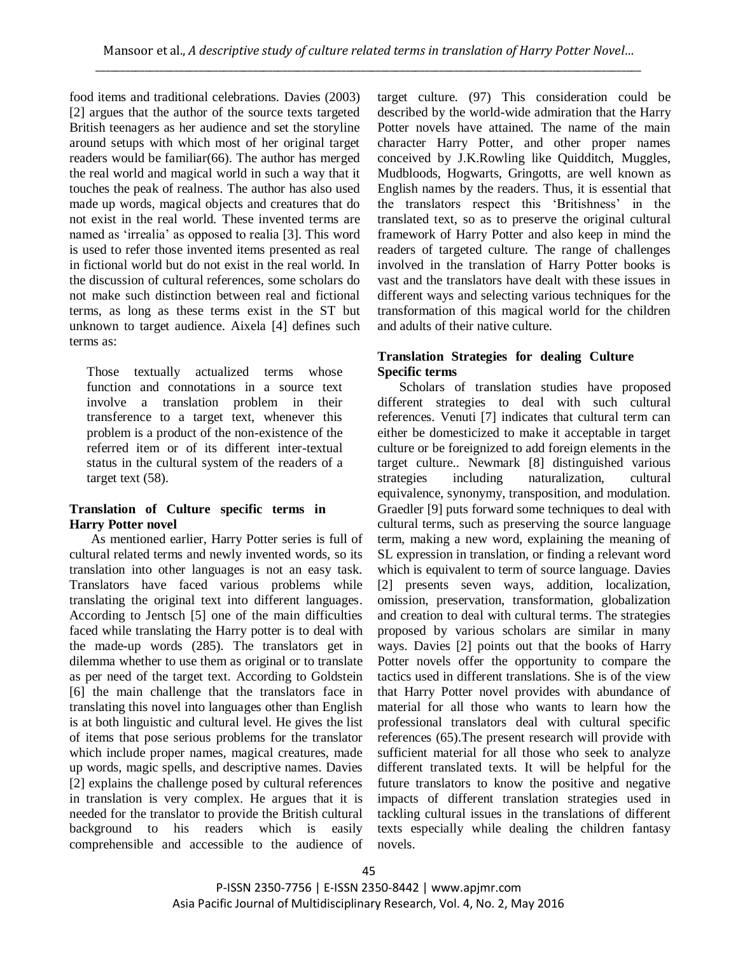food items and traditional celebrations. Davies (2003) [2] argues that the author of the source texts targeted British teenagers as her audience and set the storyline around setups with which most of her original target readers would be familiar(66). The author has merged the real world and magical world in such a way that it touches the peak of realness. The author has also used made up words, magical objects and creatures that do not exist in the real world. These invented terms are named as "irrealia" as opposed to realia [3]. This word is used to refer those invented items presented as real in fictional world but do not exist in the real world. In the discussion of cultural references, some scholars do not make such distinction between real and fictional terms, as long as these terms exist in the ST but unknown to target audience. Aixela [4] defines such terms as:

Those textually actualized terms whose function and connotations in a source text involve a translation problem in their transference to a target text, whenever this problem is a product of the non-existence of the referred item or of its different inter-textual status in the cultural system of the readers of a target text (58).

# **Translation of Culture specific terms in Harry Potter novel**

As mentioned earlier, Harry Potter series is full of cultural related terms and newly invented words, so its translation into other languages is not an easy task. Translators have faced various problems while translating the original text into different languages. According to Jentsch [5] one of the main difficulties faced while translating the Harry potter is to deal with the made-up words (285). The translators get in dilemma whether to use them as original or to translate as per need of the target text. According to Goldstein [6] the main challenge that the translators face in translating this novel into languages other than English is at both linguistic and cultural level. He gives the list of items that pose serious problems for the translator which include proper names, magical creatures, made up words, magic spells, and descriptive names. Davies [2] explains the challenge posed by cultural references in translation is very complex. He argues that it is needed for the translator to provide the British cultural background to his readers which is easily comprehensible and accessible to the audience of target culture. (97) This consideration could be described by the world-wide admiration that the Harry Potter novels have attained. The name of the main character Harry Potter, and other proper names conceived by J.K.Rowling like Quidditch, Muggles, Mudbloods, Hogwarts, Gringotts, are well known as English names by the readers. Thus, it is essential that the translators respect this "Britishness" in the translated text, so as to preserve the original cultural framework of Harry Potter and also keep in mind the readers of targeted culture. The range of challenges involved in the translation of Harry Potter books is vast and the translators have dealt with these issues in different ways and selecting various techniques for the transformation of this magical world for the children and adults of their native culture.

# **Translation Strategies for dealing Culture Specific terms**

Scholars of translation studies have proposed different strategies to deal with such cultural references. Venuti [7] indicates that cultural term can either be domesticized to make it acceptable in target culture or be foreignized to add foreign elements in the target culture.. Newmark [8] distinguished various strategies including naturalization, cultural equivalence, synonymy, transposition, and modulation. Graedler [9] puts forward some techniques to deal with cultural terms, such as preserving the source language term, making a new word, explaining the meaning of SL expression in translation, or finding a relevant word which is equivalent to term of source language. Davies [2] presents seven ways, addition, localization, omission, preservation, transformation, globalization and creation to deal with cultural terms. The strategies proposed by various scholars are similar in many ways. Davies [2] points out that the books of Harry Potter novels offer the opportunity to compare the tactics used in different translations. She is of the view that Harry Potter novel provides with abundance of material for all those who wants to learn how the professional translators deal with cultural specific references (65).The present research will provide with sufficient material for all those who seek to analyze different translated texts. It will be helpful for the future translators to know the positive and negative impacts of different translation strategies used in tackling cultural issues in the translations of different texts especially while dealing the children fantasy novels.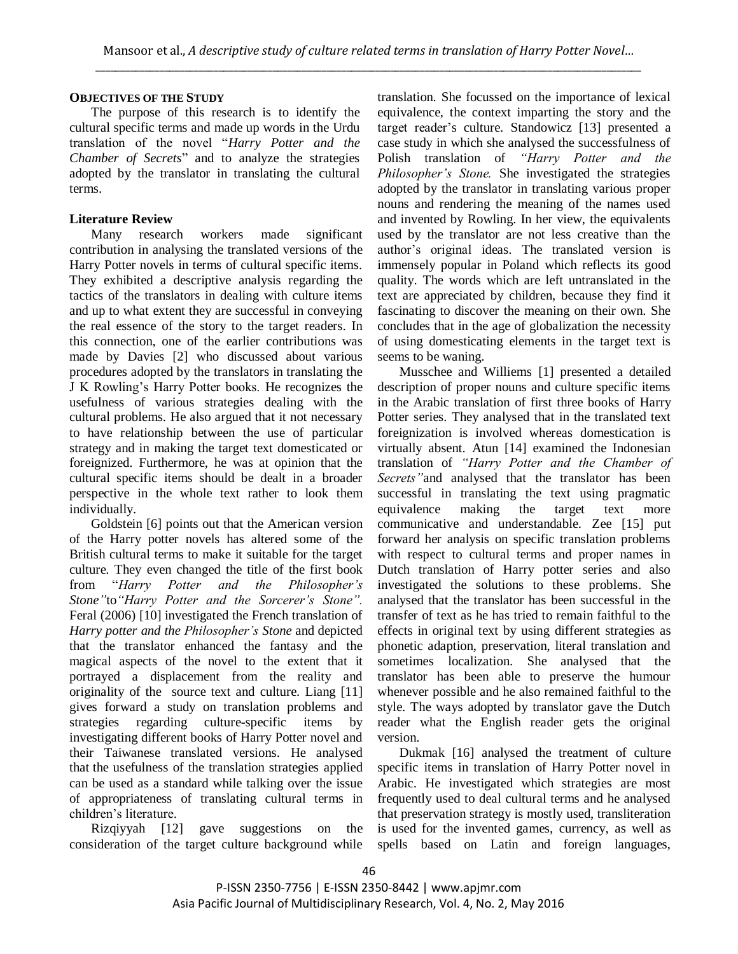# **OBJECTIVES OF THE STUDY**

The purpose of this research is to identify the cultural specific terms and made up words in the Urdu translation of the novel "*Harry Potter and the Chamber of Secrets*" and to analyze the strategies adopted by the translator in translating the cultural terms.

# **Literature Review**

Many research workers made significant contribution in analysing the translated versions of the Harry Potter novels in terms of cultural specific items. They exhibited a descriptive analysis regarding the tactics of the translators in dealing with culture items and up to what extent they are successful in conveying the real essence of the story to the target readers. In this connection, one of the earlier contributions was made by Davies [2] who discussed about various procedures adopted by the translators in translating the J K Rowling"s Harry Potter books. He recognizes the usefulness of various strategies dealing with the cultural problems. He also argued that it not necessary to have relationship between the use of particular strategy and in making the target text domesticated or foreignized. Furthermore, he was at opinion that the cultural specific items should be dealt in a broader perspective in the whole text rather to look them individually.

Goldstein [6] points out that the American version of the Harry potter novels has altered some of the British cultural terms to make it suitable for the target culture. They even changed the title of the first book from "*Harry Potter and the Philosopher's Stone"*to*"Harry Potter and the Sorcerer's Stone".* Feral (2006) [10] investigated the French translation of *Harry potter and the Philosopher's Stone* and depicted that the translator enhanced the fantasy and the magical aspects of the novel to the extent that it portrayed a displacement from the reality and originality of the source text and culture. Liang [11] gives forward a study on translation problems and strategies regarding culture-specific items by investigating different books of Harry Potter novel and their Taiwanese translated versions. He analysed that the usefulness of the translation strategies applied can be used as a standard while talking over the issue of appropriateness of translating cultural terms in children"s literature.

Rizqiyyah [12] gave suggestions on the consideration of the target culture background while translation. She focussed on the importance of lexical equivalence, the context imparting the story and the target reader"s culture. Standowicz [13] presented a case study in which she analysed the successfulness of Polish translation of *"Harry Potter and the Philosopher's Stone.* She investigated the strategies adopted by the translator in translating various proper nouns and rendering the meaning of the names used and invented by Rowling. In her view, the equivalents used by the translator are not less creative than the author"s original ideas. The translated version is immensely popular in Poland which reflects its good quality. The words which are left untranslated in the text are appreciated by children, because they find it fascinating to discover the meaning on their own. She concludes that in the age of globalization the necessity of using domesticating elements in the target text is seems to be waning.

Musschee and Williems [1] presented a detailed description of proper nouns and culture specific items in the Arabic translation of first three books of Harry Potter series. They analysed that in the translated text foreignization is involved whereas domestication is virtually absent. Atun [14] examined the Indonesian translation of *"Harry Potter and the Chamber of Secrets"*and analysed that the translator has been successful in translating the text using pragmatic equivalence making the target text more communicative and understandable. Zee [15] put forward her analysis on specific translation problems with respect to cultural terms and proper names in Dutch translation of Harry potter series and also investigated the solutions to these problems. She analysed that the translator has been successful in the transfer of text as he has tried to remain faithful to the effects in original text by using different strategies as phonetic adaption, preservation, literal translation and sometimes localization. She analysed that the translator has been able to preserve the humour whenever possible and he also remained faithful to the style. The ways adopted by translator gave the Dutch reader what the English reader gets the original version.

Dukmak [16] analysed the treatment of culture specific items in translation of Harry Potter novel in Arabic. He investigated which strategies are most frequently used to deal cultural terms and he analysed that preservation strategy is mostly used, transliteration is used for the invented games, currency, as well as spells based on Latin and foreign languages,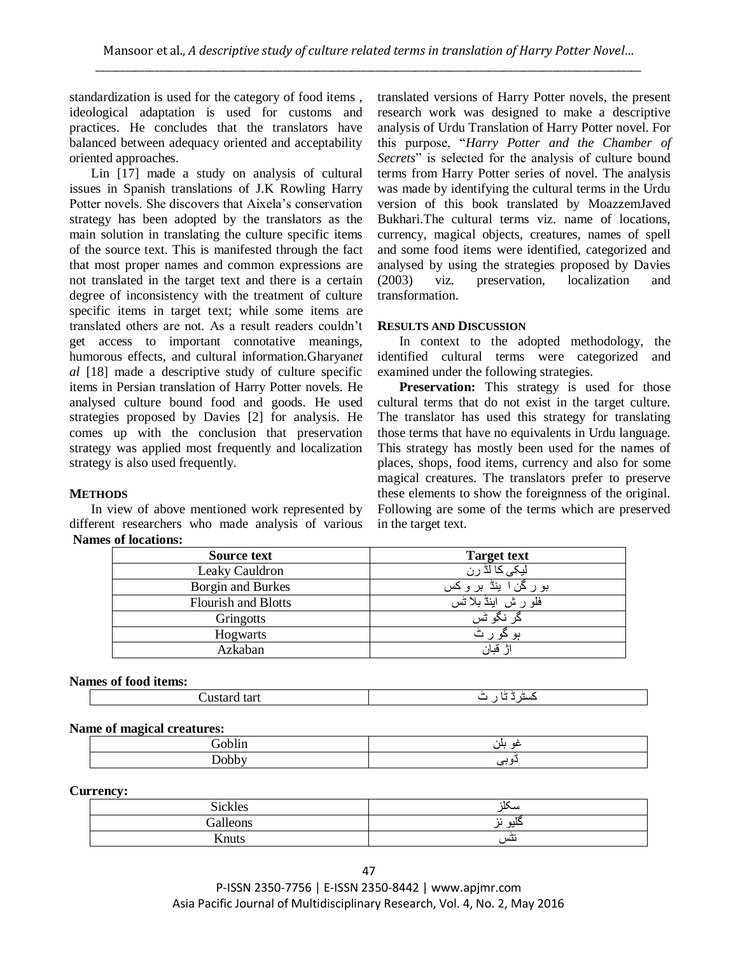standardization is used for the category of food items , ideological adaptation is used for customs and practices. He concludes that the translators have balanced between adequacy oriented and acceptability oriented approaches.

Lin [17] made a study on analysis of cultural issues in Spanish translations of J.K Rowling Harry Potter novels. She discovers that Aixela"s conservation strategy has been adopted by the translators as the main solution in translating the culture specific items of the source text. This is manifested through the fact that most proper names and common expressions are not translated in the target text and there is a certain degree of inconsistency with the treatment of culture specific items in target text; while some items are translated others are not. As a result readers couldn"t get access to important connotative meanings, humorous effects, and cultural information.Gharyan*et al* [18] made a descriptive study of culture specific items in Persian translation of Harry Potter novels. He analysed culture bound food and goods. He used strategies proposed by Davies [2] for analysis. He comes up with the conclusion that preservation strategy was applied most frequently and localization strategy is also used frequently.

## **METHODS**

In view of above mentioned work represented by different researchers who made analysis of various **Names of locations:**

translated versions of Harry Potter novels, the present research work was designed to make a descriptive analysis of Urdu Translation of Harry Potter novel. For this purpose, "*Harry Potter and the Chamber of Secrets*" is selected for the analysis of culture bound terms from Harry Potter series of novel. The analysis was made by identifying the cultural terms in the Urdu version of this book translated by MoazzemJaved Bukhari.The cultural terms viz. name of locations, currency, magical objects, creatures, names of spell and some food items were identified, categorized and analysed by using the strategies proposed by Davies (2003) viz. preservation, localization and transformation.

## **RESULTS AND DISCUSSION**

In context to the adopted methodology, the identified cultural terms were categorized and examined under the following strategies.

**Preservation:** This strategy is used for those cultural terms that do not exist in the target culture. The translator has used this strategy for translating those terms that have no equivalents in Urdu language. This strategy has mostly been used for the names of places, shops, food items, currency and also for some magical creatures. The translators prefer to preserve these elements to show the foreignness of the original. Following are some of the terms which are preserved in the target text.

| Source text                | <b>Target text</b>    |
|----------------------------|-----------------------|
| Leaky Cauldron             | لیک <i>ی</i> کا لڈ رن |
| Borgin and Burkes          | بورگن اینڈ بر وکس     |
| <b>Flourish and Blotts</b> | فلو ر ش اینڈ بلا ٹس   |
| Gringotts                  | ڈر نگو ٹس             |
| <b>Hogwarts</b>            | ہو جو                 |
| Azkaban                    | قنان                  |

## **Names of food items:**

| Custard tart | ص ۱<br>-<br>ـست |
|--------------|-----------------|
|--------------|-----------------|

## **Name of magical creatures:**

| __                   |                            |
|----------------------|----------------------------|
| $\sim$<br>--<br>____ | $\overline{a}$<br>ய<br>. . |
| .                    |                            |

## **Currency:**

| <b>Sickles</b>     | سحد                                 |
|--------------------|-------------------------------------|
| $Ca$ llaons<br>י ש | $\ddot{\phantom{0}}$<br>حلائه<br>J. |
| Knuts              | نٹس                                 |

P-ISSN 2350-7756 | E-ISSN 2350-8442 | www.apjmr.com Asia Pacific Journal of Multidisciplinary Research, Vol. 4, No. 2, May 2016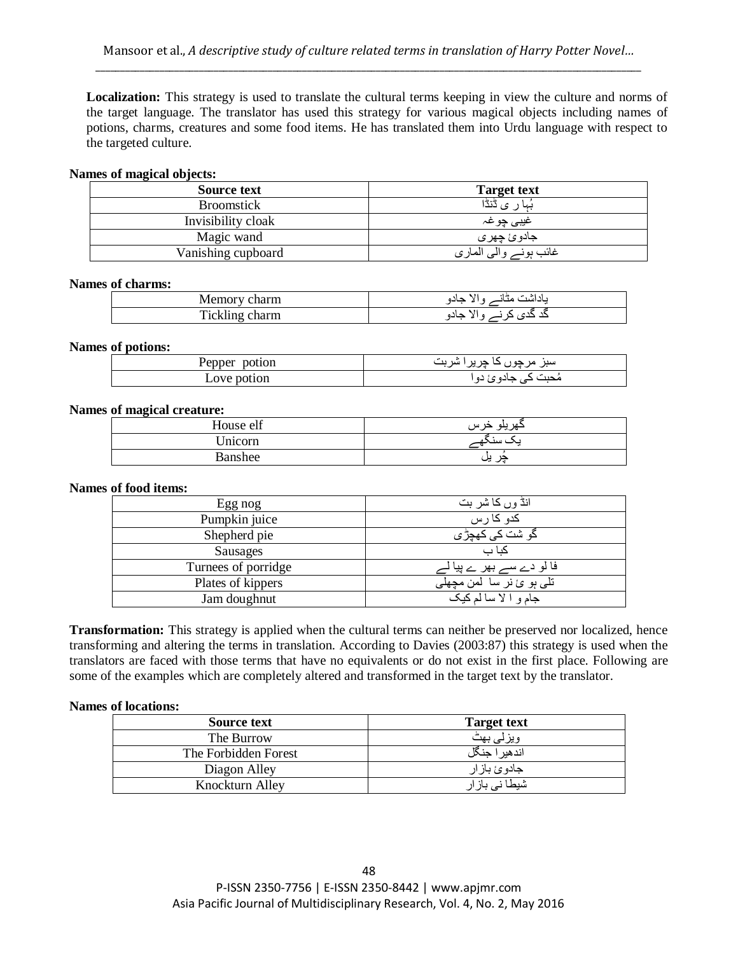**Localization:** This strategy is used to translate the cultural terms keeping in view the culture and norms of the target language. The translator has used this strategy for various magical objects including names of potions, charms, creatures and some food items. He has translated them into Urdu language with respect to the targeted culture.

## **Names of magical objects:**

| Source text        | <b>Target text</b>    |
|--------------------|-----------------------|
| <b>Broomstick</b>  | ر ی ڈنڈا<br>يہا       |
| Invisibility cloak | غيب <i>ي</i> چو غہ    |
| Magic wand         | جادوئ چهری            |
| Vanishing cupboard | غائب ہونے والی الماري |

## **Names of charms:**

| ин           | ه ۱۰<br>جادو<br>$\overline{a}$ |
|--------------|--------------------------------|
| .<br>ا الليم | ----                           |

## **Names of potions:**

| Pepper<br>potion | سبر مرچو<br>سد      |
|------------------|---------------------|
| Love potion      | محبب د<br>نادو ئ دو |

## **Names of magical creature:**

| House elf | حهريلو خرس |
|-----------|------------|
| Jnicorn   |            |
| Banshee   | پر پن      |

## **Names of food items:**

| Egg nog             | انڈ وں کا شر بت                   |
|---------------------|-----------------------------------|
| Pumpkin juice       | کدو کا رس                         |
| Shepherd pie        | د شت کی کھ <u>چڑ ی</u>            |
| Sausages            | کیا ب                             |
| Turnees of porridge | فا لو دے سے <u>بھر ے پ</u> یا     |
| Plates of kippers   | تلبي ٻو ئ نر سا لمن مچھل <u>ي</u> |
| Jam doughnut        | جام و الا سالم كيك                |

**Transformation:** This strategy is applied when the cultural terms can neither be preserved nor localized, hence transforming and altering the terms in translation. According to Davies (2003:87) this strategy is used when the translators are faced with those terms that have no equivalents or do not exist in the first place. Following are some of the examples which are completely altered and transformed in the target text by the translator.

## **Names of locations:**

| Source text          | <b>Target text</b> |
|----------------------|--------------------|
| The Burrow           | ویزلی بھٹ          |
| The Forbidden Forest | اندهير ا جنگل      |
| Diagon Alley         | جادوئ باز ار       |
| Knockturn Alley      | شیطا نے بار ار     |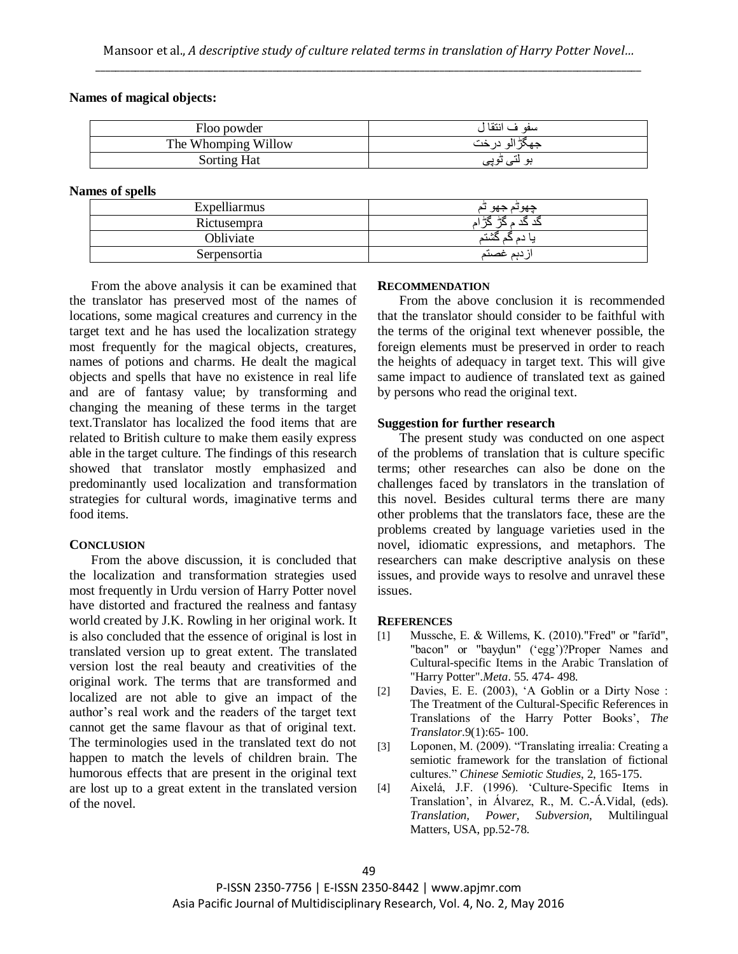#### **Names of magical objects:**

| Floo powder         | سفو ف انتقا ا |
|---------------------|---------------|
| The Whomping Willow | جهد<br>പ      |
| <b>Sorting Hat</b>  | ىنى نوپى<br>ച |

## **Names of spells**

| Expelliarmus | چهوىم جهو<br>പ            |
|--------------|---------------------------|
| Rictusempra  | -48<br>P<br>$\rightarrow$ |
| Obliviate    |                           |
| Serpensortia | دىم غصىتم                 |

From the above analysis it can be examined that the translator has preserved most of the names of locations, some magical creatures and currency in the target text and he has used the localization strategy most frequently for the magical objects, creatures, names of potions and charms. He dealt the magical objects and spells that have no existence in real life and are of fantasy value; by transforming and changing the meaning of these terms in the target text.Translator has localized the food items that are related to British culture to make them easily express able in the target culture. The findings of this research showed that translator mostly emphasized and predominantly used localization and transformation strategies for cultural words, imaginative terms and food items.

## **CONCLUSION**

From the above discussion, it is concluded that the localization and transformation strategies used most frequently in Urdu version of Harry Potter novel have distorted and fractured the realness and fantasy world created by J.K. Rowling in her original work. It is also concluded that the essence of original is lost in translated version up to great extent. The translated version lost the real beauty and creativities of the original work. The terms that are transformed and localized are not able to give an impact of the author"s real work and the readers of the target text cannot get the same flavour as that of original text. The terminologies used in the translated text do not happen to match the levels of children brain. The humorous effects that are present in the original text are lost up to a great extent in the translated version of the novel.

#### **RECOMMENDATION**

From the above conclusion it is recommended that the translator should consider to be faithful with the terms of the original text whenever possible, the foreign elements must be preserved in order to reach the heights of adequacy in target text. This will give same impact to audience of translated text as gained by persons who read the original text.

#### **Suggestion for further research**

The present study was conducted on one aspect of the problems of translation that is culture specific terms; other researches can also be done on the challenges faced by translators in the translation of this novel. Besides cultural terms there are many other problems that the translators face, these are the problems created by language varieties used in the novel, idiomatic expressions, and metaphors. The researchers can make descriptive analysis on these issues, and provide ways to resolve and unravel these issues.

#### **REFERENCES**

- [1] Mussche, E. & Willems, K. (2010)."Fred" or "farīd", "bacon" or "baydun" ('egg')?Proper Names and Cultural-specific Items in the Arabic Translation of "Harry Potter"*.Meta*. 55. 474- 498.
- [2] Davies, E. E. (2003), "A Goblin or a Dirty Nose : The Treatment of the Cultural-Specific References in Translations of the Harry Potter Books", *The Translator*.9(1):65- 100.
- [3] Loponen, M. (2009). "Translating irrealia: Creating a semiotic framework for the translation of fictional cultures." *Chinese Semiotic Studies*, 2, 165-175.
- [4] Aixelá, J.F. (1996). "Culture-Specific Items in Translation", in Álvarez, R., M. C.-Á.Vidal, (eds). *Translation, Power, Subversion,* Multilingual Matters, USA, pp.52-78.

P-ISSN 2350-7756 | E-ISSN 2350-8442 | www.apjmr.com Asia Pacific Journal of Multidisciplinary Research, Vol. 4, No. 2, May 2016